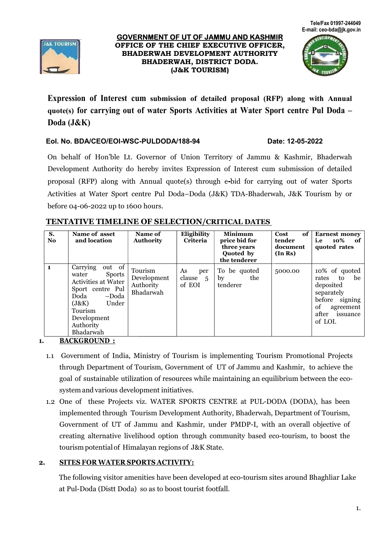





Expression of Interest cum submission of detailed proposal (RFP) along with Annual quote(s) for carrying out of water Sports Activities at Water Sport centre Pul Doda – Doda (J&K) –

### EoI. No. BDA/CEO/EOI-WSC-PULDODA/188-94 Date:

### Date: 12-05-2022

On behalf of Hon'ble Lt. Governor of Union Territory of Jammu & Kashmir, Bhaderwah On behalf of Hon'ble Lt. Governor of Union Territory of Jammu & Kashmir, Bhaderwah<br>Development Authority do hereby invites Expression of Interest cum submission of detailed proposal (RFP) along with Annual quote(s) through e-bid for carrying out of water Sports Activities at Water Sport centre Pul Doda–Doda (J&K) TDA-Bhaderwah, J&K Tourism by or before 04-06-2022 up to 1600 hours.

| S.<br><b>No</b> | Name of asset<br>and location                                                                                                                                                         | Name of<br><b>Authority</b>                      | Eligibility<br>Criteria         | <b>Minimum</b><br>price bid for<br>three years<br>Quoted by<br>the tenderer | Cost<br>of<br>tender<br>document<br>(In Rs) | <b>Earnest money</b><br>i.e<br>10%<br>of .<br>quoted rates                                                                            |
|-----------------|---------------------------------------------------------------------------------------------------------------------------------------------------------------------------------------|--------------------------------------------------|---------------------------------|-----------------------------------------------------------------------------|---------------------------------------------|---------------------------------------------------------------------------------------------------------------------------------------|
| $\blacksquare$  | out of<br>Carrying<br><b>Sports</b><br>water<br><b>Activities at Water</b><br>Sport centre Pul<br>Doda<br>–Doda<br>Under<br>(J&K)<br>Tourism<br>Development<br>Authority<br>Bhadarwah | Tourism<br>Development<br>Authority<br>Bhadarwah | As<br>per<br>clause 5<br>of EOI | To be quoted<br>by<br>the<br>tenderer                                       | 5000.00                                     | 10% of quoted<br>be<br>rates<br>to<br>deposited<br>separately<br>before<br>signing<br>of<br>agreement<br>after<br>issuance<br>of LOI. |

# TENTATIVE TIMELINE OF SELECTION/CRITICAL DATES

1. BACKGROUND :

- 1.1 Government of India, Ministry of Tourism is implementing Tourism Promotional Projects Government of India, Ministry of Tourism is implementing Tourism Promotional Projects<br>through Department of Tourism, Government of UT of Jammu and Kashmir, to achieve the goal of sustainable utilization of resources while maintaining an equilibrium between the ecosystem and various development initiatives.
- 1.2 One of these Projects viz. WATER SPORTS CENTRE at PUL-DODA (DODA), has been implemented through Tourism Tourism Development Authority, Bhaderwah, Department of Tourism, Government of UT of Jammu and Kashmir, under PMDP-I, with an overall objective of creating alternative livelihood option through community based eco-tourism, to boost the tourism potential of Himalayan regions of J&K State.

# 2. SITES FOR WATER SPORTS ACTIVITY:

The following visitor amenities have been developed at eco-tourism sites around Bhaghliar Lake at Pul-Doda (Distt Doda) so as to boost tourist footfall.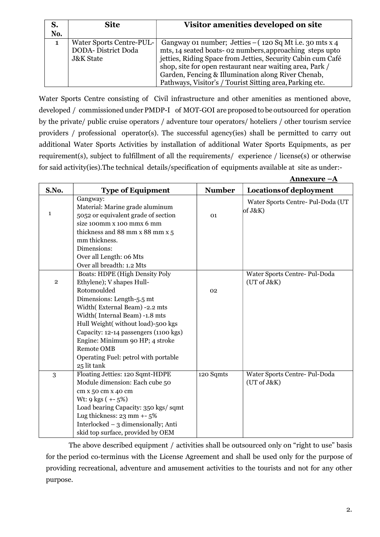|     | <b>Site</b>                     | Visitor amenities developed on site                         |
|-----|---------------------------------|-------------------------------------------------------------|
| No. |                                 |                                                             |
|     | <b>Water Sports Centre-PUL-</b> | Gangway 01 number; Jetties $-$ (120 Sq Mt i.e. 30 mts x 4)  |
|     | <b>DODA- District Doda</b>      | mts, 14 seated boats- 02 numbers, approaching steps upto    |
|     | <b>J&amp;K State</b>            | jetties, Riding Space from Jetties, Security Cabin cum Café |
|     |                                 | shop, site for open restaurant near waiting area, Park /    |
|     |                                 | Garden, Fencing & Illumination along River Chenab,          |
|     |                                 | Pathways, Visitor's / Tourist Sitting area, Parking etc.    |

Water Sports Centre consisting of Civil infrastructure and other amenities as mentioned above, developed / commissioned under PMDP-I of MOT-GOI are proposed to be outsourced for operation by the private/ public cruise operators / adventure tour operators/ hoteliers / other tourism service providers / professional operator(s). The successful agency(ies) shall be permitted to carry out additional Water Sports Activities by installation of additional Water Sports Equipments, as per requirement(s), subject to fulfillment of all the requirements/ experience / license(s) or otherwise for said activity(ies).The technical details/specification of equipments available at site as under:-

|              |                                                                                                                                                                                                                                                                                                                                                                                                     |               | <u> Annexure –A</u>                          |
|--------------|-----------------------------------------------------------------------------------------------------------------------------------------------------------------------------------------------------------------------------------------------------------------------------------------------------------------------------------------------------------------------------------------------------|---------------|----------------------------------------------|
| S.No.        | <b>Type of Equipment</b>                                                                                                                                                                                                                                                                                                                                                                            | <b>Number</b> | Locations of deployment                      |
| $\mathbf{1}$ | Gangway:<br>Material: Marine grade aluminum<br>5052 or equivalent grade of section<br>size 100mm x 100 mmx 6 mm<br>thickness and 88 mm x 88 mm x 5<br>mm thickness.<br>Dimensions:<br>Over all Length: 06 Mts                                                                                                                                                                                       | 01            | Water Sports Centre- Pul-Doda (UT<br>of J&K  |
| $\,2$        | Over all breadth: 1.2 Mts<br><b>Boats: HDPE (High Density Poly</b><br>Ethylene); V shapes Hull-<br>Rotomoulded<br>Dimensions: Length-5.5 mt<br>Width(External Beam) -2.2 mts<br>Width(Internal Beam) -1.8 mts<br>Hull Weight(without load)-500 kgs<br>Capacity: 12-14 passengers (1100 kgs)<br>Engine: Minimum 90 HP; 4 stroke<br>Remote OMB<br>Operating Fuel: petrol with portable<br>25 lit tank | 02            | Water Sports Centre- Pul-Doda<br>(UT of J&K) |
| 3            | Floating Jetties: 120 Sqmt-HDPE<br>Module dimension: Each cube 50<br>cm x 50 cm x 40 cm<br>Wt: $9 \text{ kgs} (+5%)$<br>Load bearing Capacity: 350 kgs/sqmt<br>Lug thickness: $23$ mm $+5\%$<br>Interlocked - 3 dimensionally; Anti<br>skid top surface, provided by OEM                                                                                                                            | 120 Sqmts     | Water Sports Centre- Pul-Doda<br>(UT of J&K) |

The above described equipment / activities shall be outsourced only on "right to use" basis for the period co-terminus with the License Agreement and shall be used only for the purpose of providing recreational, adventure and amusement activities to the tourists and not for any other purpose.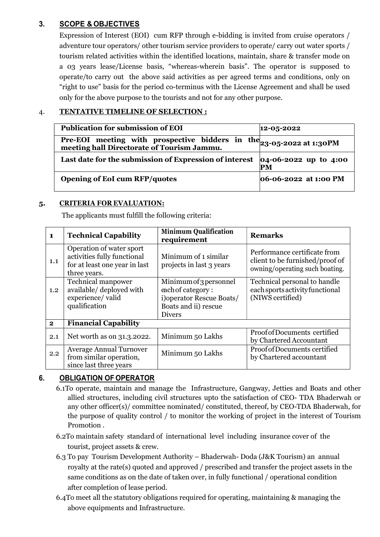# 3. SCOPE & OBJECTIVES

Expression of Interest (EOI) cum RFP through e-bidding is invited from cruise operators / adventure tour operators/ other tourism service providers to operate/ carry out water sports / tourism related activities within the identified locations, maintain, share & transfer mode on a 03 years lease/License basis, "whereas-wherein basis". The operator is supposed to operate/to carry out the above said activities as per agreed terms and conditions, only on "right to use" basis for the period co-terminus with the License Agreement and shall be used only for the above purpose to the tourists and not for any other purpose.

# 4. TENTATIVE TIMELINE OF SELECTION :

| <b>Publication for submission of EOI</b>                                                                           | $12 - 05 - 2022$                |
|--------------------------------------------------------------------------------------------------------------------|---------------------------------|
| Pre-EOI meeting with prospective bidders in the 23-05-2022 at 1:30PM<br>meeting hall Directorate of Tourism Jammu. |                                 |
| Last date for the submission of Expression of interest                                                             | $ 04-06-2022 $ up to 4:00<br>PM |
| <b>Opening of EoI cum RFP/quotes</b>                                                                               | 06-06-2022 at 1:00 PM           |

### 5. CRITERIA FOR EVALUATION:

The applicants must fulfill the following criteria:

| $\mathbf 1$  | <b>Technical Capability</b>                                                                              | <b>Minimum Qualification</b><br>requirement                                                                       | <b>Remarks</b>                                                                                    |
|--------------|----------------------------------------------------------------------------------------------------------|-------------------------------------------------------------------------------------------------------------------|---------------------------------------------------------------------------------------------------|
| 1.1          | Operation of water sport<br>activities fully functional<br>for at least one year in last<br>three years. | Minimum of 1 similar<br>projects in last 3 years                                                                  | Performance certificate from<br>client to be furnished/proof of<br>owning/operating such boating. |
| 1.2          | <b>Technical manpower</b><br>available/ deployed with<br>experience/valid<br>qualification               | Minimum of 3 personnel<br>each of category:<br>i) operator Rescue Boats/<br>Boats and ii) rescue<br><b>Divers</b> | Technical personal to handle<br>each sports activity functional<br>(NIWS certified)               |
| $\mathbf{2}$ | <b>Financial Capability</b>                                                                              |                                                                                                                   |                                                                                                   |
| 2.1          | Net worth as on 31.3.2022.                                                                               | Minimum 50 Lakhs                                                                                                  | Proof of Documents certified<br>by Chartered Accountant                                           |
| 2.2          | <b>Average Annual Turnover</b><br>from similar operation,<br>since last three years                      | Minimum 50 Lakhs                                                                                                  | Proof of Documents certified<br>by Chartered accountant                                           |

### 6. OBLIGATION OF OPERATOR

- 6.1To operate, maintain and manage the Infrastructure, Gangway, Jetties and Boats and other allied structures, including civil structures upto the satisfaction of CEO- TDA Bhaderwah or any other officer(s)/ committee nominated/ constituted, thereof, by CEO-TDA Bhaderwah, for the purpose of quality control / to monitor the working of project in the interest of Tourism Promotion .
- 6.2To maintain safety standard of international level including insurance cover of the tourist, project assets & crew.
- 6.3 To pay Tourism Development Authority Bhaderwah- Doda (J&K Tourism) an annual royalty at the rate(s) quoted and approved / prescribed and transfer the project assets in the same conditions as on the date of taken over, in fully functional / operational condition after completion of lease period.
- 6.4To meet all the statutory obligations required for operating, maintaining & managing the above equipments and Infrastructure.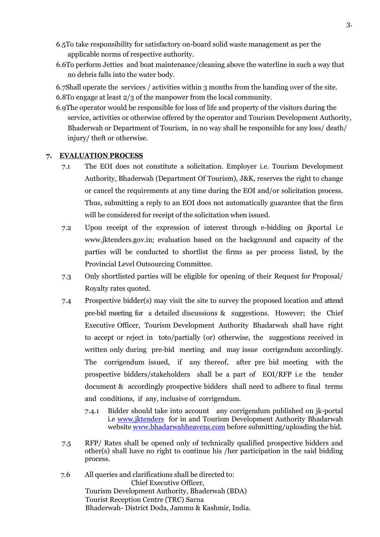- 6.5To take responsibility for satisfactory on-board solid waste management as per the applicable norms of respective authority.
- 6.6To perform Jetties and boat maintenance/cleaning above the waterline in such a way that no debris falls into the water body.
- 6.7Shall operate the services / activities within 3 months from the handing over of the site. 6.8To engage at least 2/3 of the manpower from the local community.
- 6.9The operator would be responsible for loss of life and property of the visitors during the service, activities or otherwise offered by the operator and Tourism Development Authority, Bhaderwah or Department of Tourism, in no way shall be responsible for any loss/ death/ injury/ theft or otherwise.

#### 7. EVALUATION PROCESS

- 7.1 The EOI does not constitute a solicitation. Employer i.e. Tourism Development Authority, Bhaderwah (Department Of Tourism), J&K, reserves the right to change or cancel the requirements at any time during the EOI and/or solicitation process. Thus, submitting a reply to an EOI does not automatically guarantee that the firm will be considered for receipt of the solicitation when issued.
- 7.2 Upon receipt of the expression of interest through e-bidding on jkportal i.e www.jktenders.gov.in; evaluation based on the background and capacity of the parties will be conducted to shortlist the firms as per process listed, by the Provincial Level Outsourcing Committee.
- 7.3 Only shortlisted parties will be eligible for opening of their Request for Proposal/ Royalty rates quoted.
- 7.4 Prospective bidder(s) may visit the site to survey the proposed location and attend pre-bid meeting for a detailed discussions & suggestions. However; the Chief Executive Officer, Tourism Development Authority Bhadarwah shall have right to accept or reject in toto/partially (or) otherwise, the suggestions received in written only during pre-bid meeting and may issue corrigendum accordingly. The corrigendum issued, if any thereof, after pre bid meeting with the prospective bidders/stakeholders shall be a part of EOI/RFP i.e the tender document & accordingly prospective bidders shall need to adhere to final terms and conditions, if any, inclusive of corrigendum.
	- 7.4.1 Bidder should take into account any corrigendum published on jk-portal i.e www.jktenders for in and Tourism Development Authority Bhadarwah website www.bhadarwahheavens.com before submitting/uploading the bid.
- 7.5 RFP/ Rates shall be opened only of technically qualified prospective bidders and other(s) shall have no right to continue his /her participation in the said bidding process.
- 7.6 All queries and clarifications shall be directed to: Chief Executive Officer, Tourism Development Authority, Bhaderwah (BDA) Tourist Reception Centre (TRC) Sarna Bhaderwah- District Doda, Jammu & Kashmir, India.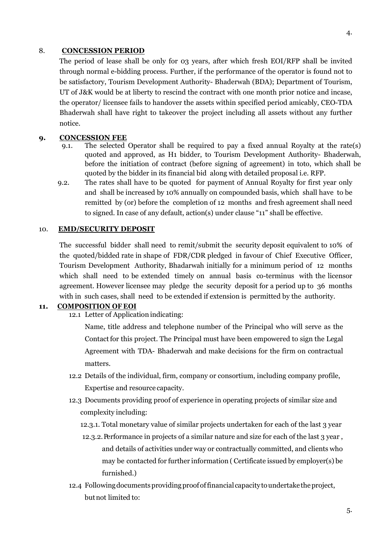#### 8. CONCESSION PERIOD

The period of lease shall be only for 03 years, after which fresh EOI/RFP shall be invited through normal e-bidding process. Further, if the performance of the operator is found not to be satisfactory, Tourism Development Authority- Bhaderwah (BDA); Department of Tourism, UT of J&K would be at liberty to rescind the contract with one month prior notice and incase, the operator/ licensee fails to handover the assets within specified period amicably, CEO-TDA Bhaderwah shall have right to takeover the project including all assets without any further notice.

### 9. CONCESSION FEE

- 9.1. The selected Operator shall be required to pay a fixed annual Royalty at the rate(s) quoted and approved, as H1 bidder, to Tourism Development Authority- Bhaderwah, before the initiation of contract (before signing of agreement) in toto, which shall be quoted by the bidder in its financial bid along with detailed proposal i.e. RFP.
- 9.2. The rates shall have to be quoted for payment of Annual Royalty for first year only and shall be increased by 10% annually on compounded basis, which shall have to be remitted by (or) before the completion of 12 months and fresh agreement shall need to signed. In case of any default, action(s) under clause "11" shall be effective.

#### 10. EMD/SECURITY DEPOSIT

The successful bidder shall need to remit/submit the security deposit equivalent to 10% of the quoted/bidded rate in shape of FDR/CDR pledged in favour of Chief Executive Officer, Tourism Development Authority, Bhadarwah initially for a minimum period of 12 months which shall need to be extended timely on annual basis co-terminus with the licensor agreement. However licensee may pledge the security deposit for a period up to 36 months with in such cases, shall need to be extended if extension is permitted by the authority.

#### 11. COMPOSITION OF EOI

12.1 Letter of Application indicating:

Name, title address and telephone number of the Principal who will serve as the Contact for this project. The Principal must have been empowered to sign the Legal Agreement with TDA- Bhaderwah and make decisions for the firm on contractual matters.

- 12.2 Details of the individual, firm, company or consortium, including company profile, Expertise and resource capacity.
- 12.3 Documents providing proof of experience in operating projects of similar size and complexity including:
	- 12.3.1. Total monetary value of similar projects undertaken for each of the last 3 year
	- 12.3.2. Performance in projects of a similar nature and size for each of the last 3 year , and details of activities under way or contractually committed, and clients who may be contacted for further information ( Certificate issued by employer(s) be furnished.)
- 12.4 Following documents providing proof of financial capacity to undertake the project, but not limited to: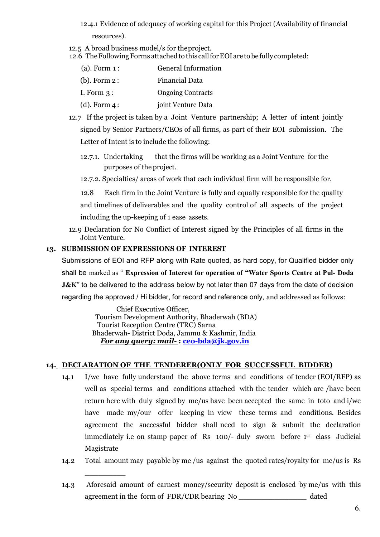- 12.4.1 Evidence of adequacy of working capital for this Project (Availability of financial resources).
- 12.5 A broad business model/s for the project.
- 12.6 The Following Forms attached to this call for EOI are to be fully completed:

| $(a)$ . Form $1$ : | <b>General Information</b> |
|--------------------|----------------------------|
| $(b)$ . Form 2:    | Financial Data             |
| I. Form $3:$       | <b>Ongoing Contracts</b>   |
| $(d)$ . Form 4 :   | joint Venture Data         |

- 12.7 If the project is taken by a Joint Venture partnership; A letter of intent jointly signed by Senior Partners/CEOs of all firms, as part of their EOI submission. The Letter of Intent is to include the following:
	- 12.7.1. Undertaking that the firms will be working as a Joint Venture for the purposes of the project.
	- 12.7.2. Specialties/ areas of work that each individual firm will be responsible for.

 12.8 Each firm in the Joint Venture is fully and equally responsible for the quality and timelines of deliverables and the quality control of all aspects of the project including the up-keeping of 1 ease assets.

12.9 Declaration for No Conflict of Interest signed by the Principles of all firms in the Joint Venture.

# 13. SUBMISSION OF EXPRESSIONS OF INTEREST

 $\overline{\phantom{a}}$  . The contract of the contract of the contract of the contract of the contract of the contract of the contract of the contract of the contract of the contract of the contract of the contract of the contract of

Submissions of EOI and RFP along with Rate quoted, as hard copy, for Qualified bidder only shall be marked as " Expression of Interest for operation of "Water Sports Centre at Pul- Doda **J&K**" to be delivered to the address below by not later than 07 days from the date of decision regarding the approved / Hi bidder, for record and reference only, and addressed as follows:

> Chief Executive Officer, Tourism Development Authority, Bhaderwah (BDA) Tourist Reception Centre (TRC) Sarna Bhaderwah- District Doda, Jammu & Kashmir, India For any query: mail- : ceo-bda@jk.gov.in

### 14. DECLARATION OF THE TENDERER(ONLY FOR SUCCESSFUL BIDDER)

- 14.1 I/we have fully understand the above terms and conditions of tender (EOI/RFP) as well as special terms and conditions attached with the tender which are /have been return here with duly signed by me/us have been accepted the same in toto and i/we have made my/our offer keeping in view these terms and conditions. Besides agreement the successful bidder shall need to sign & submit the declaration immediately i.e on stamp paper of Rs 100/- duly sworn before 1st class Judicial Magistrate
- 14.2 Total amount may payable by me /us against the quoted rates/royalty for me/us is Rs
- 14.3 Aforesaid amount of earnest money/security deposit is enclosed by me/us with this agreement in the form of FDR/CDR bearing No dated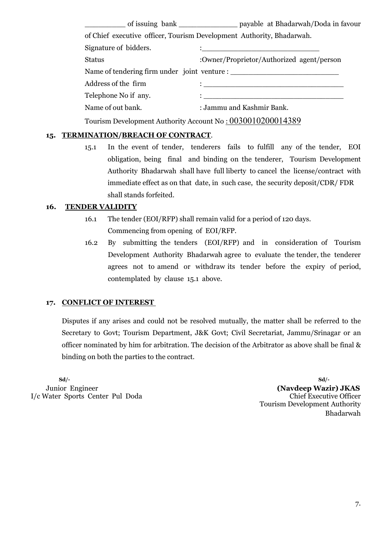of issuing bank \_\_\_\_\_\_\_\_\_\_\_\_\_\_\_\_\_ payable at Bhadarwah/Doda in favour of Chief executive officer, Tourism Development Authority, Bhadarwah. Signature of bidders. Status :Owner/Proprietor/Authorized agent/person Name of tendering firm under joint venture : \_\_\_\_\_\_\_\_\_\_\_\_\_\_\_\_\_\_\_\_\_\_\_\_ Address of the firm  $\qquad \qquad :$ Telephone No if any.  $\vdots$ Name of out bank. : Jammu and Kashmir Bank.

Tourism Development Authority Account No : 0030010200014389

# 15. TERMINATION/BREACH OF CONTRACT.

15.1 In the event of tender, tenderers fails to fulfill any of the tender, EOI obligation, being final and binding on the tenderer, Tourism Development Authority Bhadarwah shall have full liberty to cancel the license/contract with immediate effect as on that date, in such case, the security deposit/CDR/ FDR shall stands forfeited.

### 16. TENDER VALIDITY

- 16.1 The tender (EOI/RFP) shall remain valid for a period of 120 days. Commencing from opening of EOI/RFP.
- 16.2 By submitting the tenders (EOI/RFP) and in consideration of Tourism Development Authority Bhadarwah agree to evaluate the tender, the tenderer agrees not to amend or withdraw its tender before the expiry of period, contemplated by clause 15.1 above.

### 17. CONFLICT OF INTEREST

Disputes if any arises and could not be resolved mutually, the matter shall be referred to the Secretary to Govt; Tourism Department, J&K Govt; Civil Secretariat, Jammu/Srinagar or an officer nominated by him for arbitration. The decision of the Arbitrator as above shall be final & binding on both the parties to the contract.

 $Sd$ - $Sd$ -I/c Water Sports Center Pul Doda Chief Executive Officer

Junior Engineer (Navdeep Wazir) JKAS Tourism Development Authority Bhadarwah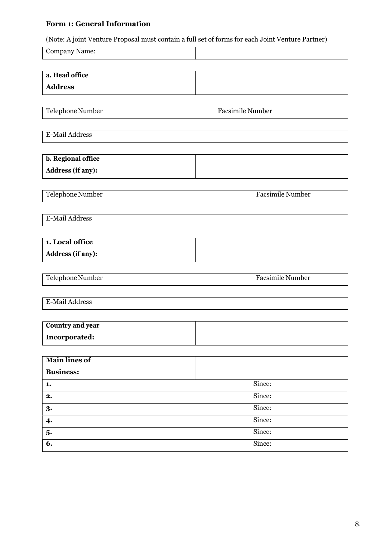# Form 1: General Information

(Note: A joint Venture Proposal must contain a full set of forms for each Joint Venture Partner)

| Company Name:           |                         |
|-------------------------|-------------------------|
|                         |                         |
| a. Head office          |                         |
| <b>Address</b>          |                         |
|                         |                         |
| Telephone Number        | <b>Facsimile Number</b> |
| <b>E-Mail Address</b>   |                         |
|                         |                         |
| b. Regional office      |                         |
| Address (if any):       |                         |
|                         |                         |
| Telephone Number        | <b>Facsimile Number</b> |
|                         |                         |
| E-Mail Address          |                         |
|                         |                         |
| 1. Local office         |                         |
| Address (if any):       |                         |
| Telephone Number        | <b>Facsimile Number</b> |
|                         |                         |
| E-Mail Address          |                         |
|                         |                         |
| <b>Country and year</b> |                         |
| Incorporated:           |                         |
|                         |                         |
| <b>Main lines of</b>    |                         |
| <b>Business:</b>        |                         |
| 1.<br>2.                | Since:<br>Since:        |
| 3.                      | Since:                  |
| $\boldsymbol{4}$        | Since:                  |
| 5.                      | Since:                  |
| 6.                      | Since:                  |
|                         |                         |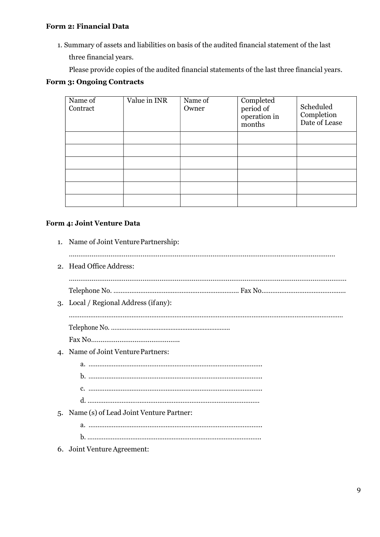# Form 2: Financial Data

1. Summary of assets and liabilities on basis of the audited financial statement of the last three financial years.

Please provide copies of the audited financial statements of the last three financial years.

# Form 3: Ongoing Contracts

| Name of<br>Contract | Value in INR | Name of<br>Owner | Completed<br>period of<br>operation in<br>months | Scheduled<br>Completion<br>Date of Lease |
|---------------------|--------------|------------------|--------------------------------------------------|------------------------------------------|
|                     |              |                  |                                                  |                                          |
|                     |              |                  |                                                  |                                          |
|                     |              |                  |                                                  |                                          |
|                     |              |                  |                                                  |                                          |
|                     |              |                  |                                                  |                                          |
|                     |              |                  |                                                  |                                          |

# Form 4: Joint Venture Data

| 1. Name of Joint Venture Partnership:      |
|--------------------------------------------|
| 2. Head Office Address:                    |
| 3. Local / Regional Address (if any):      |
| 4. Name of Joint Venture Partners:         |
| 5. Name (s) of Lead Joint Venture Partner: |
| 6. Joint Venture Agreement:                |